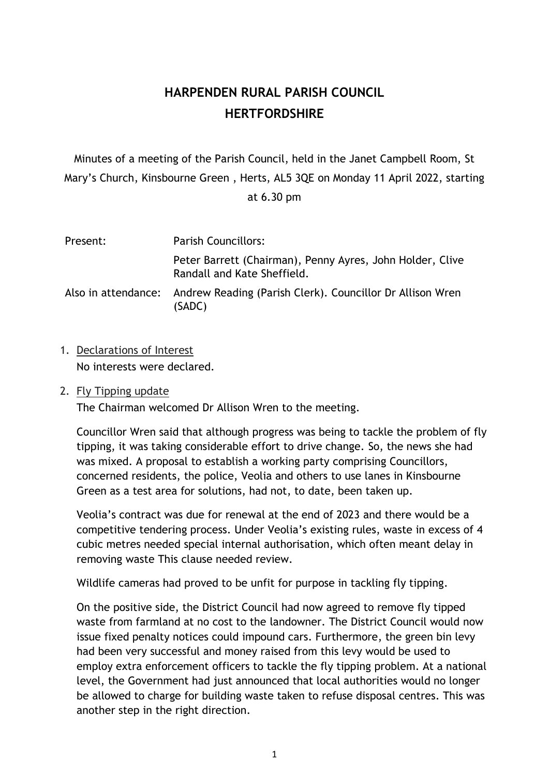# **HARPENDEN RURAL PARISH COUNCIL HERTFORDSHIRE**

Minutes of a meeting of the Parish Council, held in the Janet Campbell Room, St Mary's Church, Kinsbourne Green , Herts, AL5 3QE on Monday 11 April 2022, starting

| at 6.30 pm |  |
|------------|--|
|------------|--|

| Present: | <b>Parish Councillors:</b>                                                               |  |  |
|----------|------------------------------------------------------------------------------------------|--|--|
|          | Peter Barrett (Chairman), Penny Ayres, John Holder, Clive<br>Randall and Kate Sheffield. |  |  |
|          | Also in attendance: Andrew Reading (Parish Clerk). Councillor Dr Allison Wren<br>(SADC)  |  |  |

- 1. Declarations of Interest No interests were declared.
- 2. Fly Tipping update

The Chairman welcomed Dr Allison Wren to the meeting.

Councillor Wren said that although progress was being to tackle the problem of fly tipping, it was taking considerable effort to drive change. So, the news she had was mixed. A proposal to establish a working party comprising Councillors, concerned residents, the police, Veolia and others to use lanes in Kinsbourne Green as a test area for solutions, had not, to date, been taken up.

Veolia's contract was due for renewal at the end of 2023 and there would be a competitive tendering process. Under Veolia's existing rules, waste in excess of 4 cubic metres needed special internal authorisation, which often meant delay in removing waste This clause needed review.

Wildlife cameras had proved to be unfit for purpose in tackling fly tipping.

On the positive side, the District Council had now agreed to remove fly tipped waste from farmland at no cost to the landowner. The District Council would now issue fixed penalty notices could impound cars. Furthermore, the green bin levy had been very successful and money raised from this levy would be used to employ extra enforcement officers to tackle the fly tipping problem. At a national level, the Government had just announced that local authorities would no longer be allowed to charge for building waste taken to refuse disposal centres. This was another step in the right direction.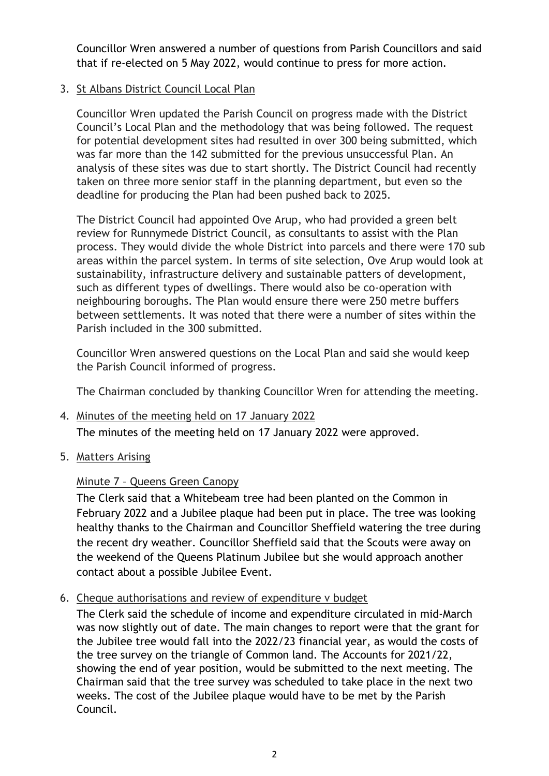Councillor Wren answered a number of questions from Parish Councillors and said that if re-elected on 5 May 2022, would continue to press for more action.

## 3. St Albans District Council Local Plan

Councillor Wren updated the Parish Council on progress made with the District Council's Local Plan and the methodology that was being followed. The request for potential development sites had resulted in over 300 being submitted, which was far more than the 142 submitted for the previous unsuccessful Plan. An analysis of these sites was due to start shortly. The District Council had recently taken on three more senior staff in the planning department, but even so the deadline for producing the Plan had been pushed back to 2025.

The District Council had appointed Ove Arup, who had provided a green belt review for Runnymede District Council, as consultants to assist with the Plan process. They would divide the whole District into parcels and there were 170 sub areas within the parcel system. In terms of site selection, Ove Arup would look at sustainability, infrastructure delivery and sustainable patters of development, such as different types of dwellings. There would also be co-operation with neighbouring boroughs. The Plan would ensure there were 250 metre buffers between settlements. It was noted that there were a number of sites within the Parish included in the 300 submitted.

Councillor Wren answered questions on the Local Plan and said she would keep the Parish Council informed of progress.

The Chairman concluded by thanking Councillor Wren for attending the meeting.

- 4. Minutes of the meeting held on 17 January 2022 The minutes of the meeting held on 17 January 2022 were approved.
- 5. Matters Arising

# Minute 7 – Queens Green Canopy

The Clerk said that a Whitebeam tree had been planted on the Common in February 2022 and a Jubilee plaque had been put in place. The tree was looking healthy thanks to the Chairman and Councillor Sheffield watering the tree during the recent dry weather. Councillor Sheffield said that the Scouts were away on the weekend of the Queens Platinum Jubilee but she would approach another contact about a possible Jubilee Event.

6. Cheque authorisations and review of expenditure v budget

The Clerk said the schedule of income and expenditure circulated in mid-March was now slightly out of date. The main changes to report were that the grant for the Jubilee tree would fall into the 2022/23 financial year, as would the costs of the tree survey on the triangle of Common land. The Accounts for 2021/22, showing the end of year position, would be submitted to the next meeting. The Chairman said that the tree survey was scheduled to take place in the next two weeks. The cost of the Jubilee plaque would have to be met by the Parish Council.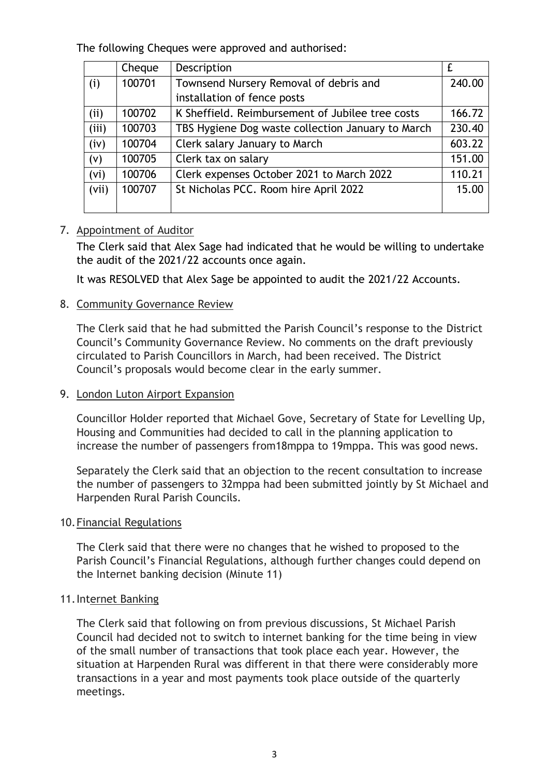The following Cheques were approved and authorised:

|                   | Cheque | Description                                       | £      |
|-------------------|--------|---------------------------------------------------|--------|
| (i)               | 100701 | Townsend Nursery Removal of debris and            | 240.00 |
|                   |        | installation of fence posts                       |        |
| (i)               | 100702 | K Sheffield. Reimbursement of Jubilee tree costs  | 166.72 |
| (iii)             | 100703 | TBS Hygiene Dog waste collection January to March | 230.40 |
| (iv)              | 100704 | Clerk salary January to March                     | 603.22 |
| (v)               | 100705 | Clerk tax on salary                               | 151.00 |
| (v <sub>i</sub> ) | 100706 | Clerk expenses October 2021 to March 2022         | 110.21 |
| (vii)             | 100707 | St Nicholas PCC. Room hire April 2022             | 15.00  |
|                   |        |                                                   |        |

## 7. Appointment of Auditor

The Clerk said that Alex Sage had indicated that he would be willing to undertake the audit of the 2021/22 accounts once again.

It was RESOLVED that Alex Sage be appointed to audit the 2021/22 Accounts.

## 8. Community Governance Review

The Clerk said that he had submitted the Parish Council's response to the District Council's Community Governance Review. No comments on the draft previously circulated to Parish Councillors in March, had been received. The District Council's proposals would become clear in the early summer.

#### 9. London Luton Airport Expansion

Councillor Holder reported that Michael Gove, Secretary of State for Levelling Up, Housing and Communities had decided to call in the planning application to increase the number of passengers from18mppa to 19mppa. This was good news.

Separately the Clerk said that an objection to the recent consultation to increase the number of passengers to 32mppa had been submitted jointly by St Michael and Harpenden Rural Parish Councils.

#### 10.Financial Regulations

The Clerk said that there were no changes that he wished to proposed to the Parish Council's Financial Regulations, although further changes could depend on the Internet banking decision (Minute 11)

#### 11.Internet Banking

The Clerk said that following on from previous discussions, St Michael Parish Council had decided not to switch to internet banking for the time being in view of the small number of transactions that took place each year. However, the situation at Harpenden Rural was different in that there were considerably more transactions in a year and most payments took place outside of the quarterly meetings.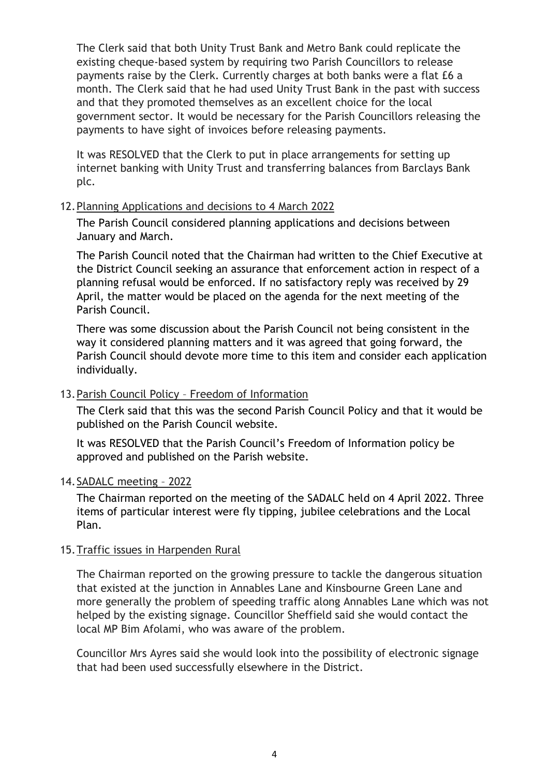The Clerk said that both Unity Trust Bank and Metro Bank could replicate the existing cheque-based system by requiring two Parish Councillors to release payments raise by the Clerk. Currently charges at both banks were a flat £6 a month. The Clerk said that he had used Unity Trust Bank in the past with success and that they promoted themselves as an excellent choice for the local government sector. It would be necessary for the Parish Councillors releasing the payments to have sight of invoices before releasing payments.

It was RESOLVED that the Clerk to put in place arrangements for setting up internet banking with Unity Trust and transferring balances from Barclays Bank plc.

### 12.Planning Applications and decisions to 4 March 2022

The Parish Council considered planning applications and decisions between January and March.

The Parish Council noted that the Chairman had written to the Chief Executive at the District Council seeking an assurance that enforcement action in respect of a planning refusal would be enforced. If no satisfactory reply was received by 29 April, the matter would be placed on the agenda for the next meeting of the Parish Council.

There was some discussion about the Parish Council not being consistent in the way it considered planning matters and it was agreed that going forward, the Parish Council should devote more time to this item and consider each application individually.

## 13.Parish Council Policy – Freedom of Information

The Clerk said that this was the second Parish Council Policy and that it would be published on the Parish Council website.

It was RESOLVED that the Parish Council's Freedom of Information policy be approved and published on the Parish website.

## 14.SADALC meeting – 2022

The Chairman reported on the meeting of the SADALC held on 4 April 2022. Three items of particular interest were fly tipping, jubilee celebrations and the Local Plan.

## 15.Traffic issues in Harpenden Rural

The Chairman reported on the growing pressure to tackle the dangerous situation that existed at the junction in Annables Lane and Kinsbourne Green Lane and more generally the problem of speeding traffic along Annables Lane which was not helped by the existing signage. Councillor Sheffield said she would contact the local MP Bim Afolami, who was aware of the problem.

Councillor Mrs Ayres said she would look into the possibility of electronic signage that had been used successfully elsewhere in the District.